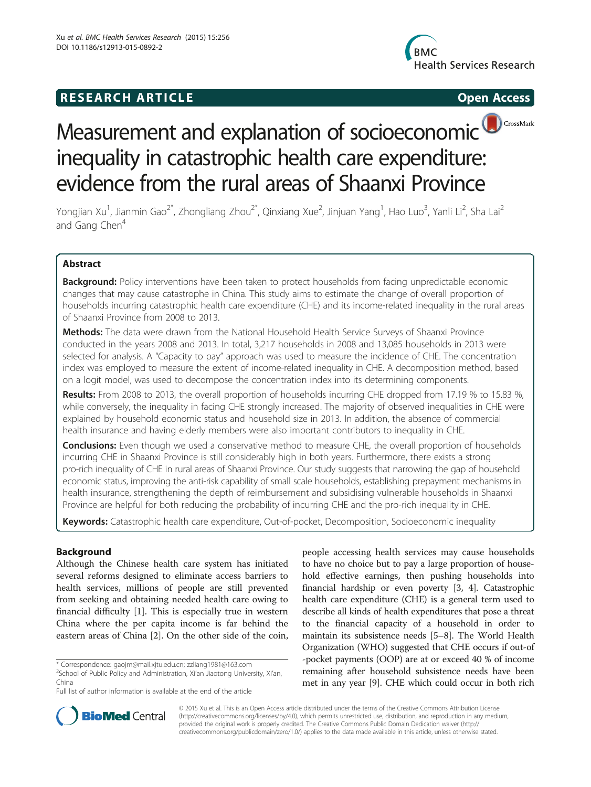## **RESEARCH ARTICLE Example 2014 CONSIDERING CONSIDERING CONSIDERING CONSIDERING CONSIDERING CONSIDERING CONSIDERING CONSIDERING CONSIDERING CONSIDERING CONSIDERING CONSIDERING CONSIDERING CONSIDERING CONSIDERING CONSIDE**



# CrossMark Measurement and explanation of socioeconomic inequality in catastrophic health care expenditure: evidence from the rural areas of Shaanxi Province

Yongjian Xu<sup>1</sup>, Jianmin Gao<sup>2\*</sup>, Zhongliang Zhou<sup>2\*</sup>, Qinxiang Xue<sup>2</sup>, Jinjuan Yang<sup>1</sup>, Hao Luo<sup>3</sup>, Yanli Li<sup>2</sup>, Sha Lai<sup>2</sup> and Gang Chen<sup>4</sup>

## Abstract

**Background:** Policy interventions have been taken to protect households from facing unpredictable economic changes that may cause catastrophe in China. This study aims to estimate the change of overall proportion of households incurring catastrophic health care expenditure (CHE) and its income-related inequality in the rural areas of Shaanxi Province from 2008 to 2013.

Methods: The data were drawn from the National Household Health Service Surveys of Shaanxi Province conducted in the years 2008 and 2013. In total, 3,217 households in 2008 and 13,085 households in 2013 were selected for analysis. A "Capacity to pay" approach was used to measure the incidence of CHE. The concentration index was employed to measure the extent of income-related inequality in CHE. A decomposition method, based on a logit model, was used to decompose the concentration index into its determining components.

Results: From 2008 to 2013, the overall proportion of households incurring CHE dropped from 17.19 % to 15.83 %, while conversely, the inequality in facing CHE strongly increased. The majority of observed inequalities in CHE were explained by household economic status and household size in 2013. In addition, the absence of commercial health insurance and having elderly members were also important contributors to inequality in CHE.

**Conclusions:** Even though we used a conservative method to measure CHE, the overall proportion of households incurring CHE in Shaanxi Province is still considerably high in both years. Furthermore, there exists a strong pro-rich inequality of CHE in rural areas of Shaanxi Province. Our study suggests that narrowing the gap of household economic status, improving the anti-risk capability of small scale households, establishing prepayment mechanisms in health insurance, strengthening the depth of reimbursement and subsidising vulnerable households in Shaanxi Province are helpful for both reducing the probability of incurring CHE and the pro-rich inequality in CHE.

Keywords: Catastrophic health care expenditure, Out-of-pocket, Decomposition, Socioeconomic inequality

## Background

Although the Chinese health care system has initiated several reforms designed to eliminate access barriers to health services, millions of people are still prevented from seeking and obtaining needed health care owing to financial difficulty [[1\]](#page-9-0). This is especially true in western China where the per capita income is far behind the eastern areas of China [[2](#page-9-0)]. On the other side of the coin,

 $2$ School of Public Policy and Administration, Xi'an Jiaotong University, Xi'an, China

people accessing health services may cause households to have no choice but to pay a large proportion of household effective earnings, then pushing households into financial hardship or even poverty [\[3, 4](#page-9-0)]. Catastrophic health care expenditure (CHE) is a general term used to describe all kinds of health expenditures that pose a threat to the financial capacity of a household in order to maintain its subsistence needs [[5](#page-9-0)–[8](#page-9-0)]. The World Health Organization (WHO) suggested that CHE occurs if out-of -pocket payments (OOP) are at or exceed 40 % of income remaining after household subsistence needs have been met in any year [\[9](#page-9-0)]. CHE which could occur in both rich



© 2015 Xu et al. This is an Open Access article distributed under the terms of the Creative Commons Attribution License [\(http://creativecommons.org/licenses/by/4.0\)](http://creativecommons.org/licenses/by/4.0), which permits unrestricted use, distribution, and reproduction in any medium, provided the original work is properly credited. The Creative Commons Public Domain Dedication waiver [\(http://](http://creativecommons.org/publicdomain/zero/1.0/) [creativecommons.org/publicdomain/zero/1.0/\)](http://creativecommons.org/publicdomain/zero/1.0/) applies to the data made available in this article, unless otherwise stated.

<sup>\*</sup> Correspondence: [gaojm@mail.xjtu.edu.cn](mailto:gaojm@mail.xjtu.edu.cn); [zzliang1981@163.com](mailto:zzliang1981@163.com) <sup>2</sup>

Full list of author information is available at the end of the article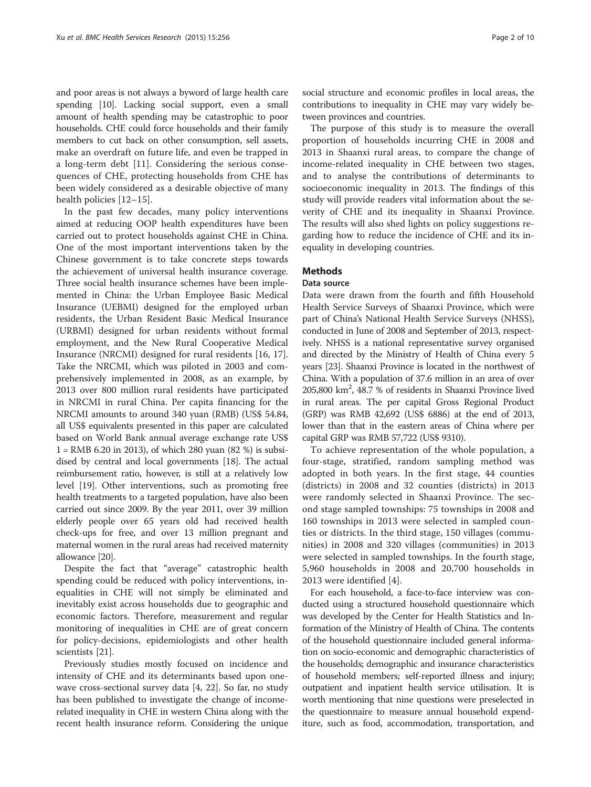and poor areas is not always a byword of large health care spending [[10](#page-9-0)]. Lacking social support, even a small amount of health spending may be catastrophic to poor households. CHE could force households and their family members to cut back on other consumption, sell assets, make an overdraft on future life, and even be trapped in a long-term debt [\[11](#page-9-0)]. Considering the serious consequences of CHE, protecting households from CHE has been widely considered as a desirable objective of many health policies [\[12](#page-9-0)–[15](#page-9-0)].

In the past few decades, many policy interventions aimed at reducing OOP health expenditures have been carried out to protect households against CHE in China. One of the most important interventions taken by the Chinese government is to take concrete steps towards the achievement of universal health insurance coverage. Three social health insurance schemes have been implemented in China: the Urban Employee Basic Medical Insurance (UEBMI) designed for the employed urban residents, the Urban Resident Basic Medical Insurance (URBMI) designed for urban residents without formal employment, and the New Rural Cooperative Medical Insurance (NRCMI) designed for rural residents [\[16](#page-9-0), [17](#page-9-0)]. Take the NRCMI, which was piloted in 2003 and comprehensively implemented in 2008, as an example, by 2013 over 800 million rural residents have participated in NRCMI in rural China. Per capita financing for the NRCMI amounts to around 340 yuan (RMB) (US\$ 54.84, all US\$ equivalents presented in this paper are calculated based on World Bank annual average exchange rate US\$ 1 = RMB 6.20 in 2013), of which 280 yuan (82 %) is subsidised by central and local governments [[18](#page-9-0)]. The actual reimbursement ratio, however, is still at a relatively low level [[19](#page-9-0)]. Other interventions, such as promoting free health treatments to a targeted population, have also been carried out since 2009. By the year 2011, over 39 million elderly people over 65 years old had received health check-ups for free, and over 13 million pregnant and maternal women in the rural areas had received maternity allowance [[20](#page-9-0)].

Despite the fact that "average" catastrophic health spending could be reduced with policy interventions, inequalities in CHE will not simply be eliminated and inevitably exist across households due to geographic and economic factors. Therefore, measurement and regular monitoring of inequalities in CHE are of great concern for policy-decisions, epidemiologists and other health scientists [[21\]](#page-9-0).

Previously studies mostly focused on incidence and intensity of CHE and its determinants based upon onewave cross-sectional survey data [[4, 22](#page-9-0)]. So far, no study has been published to investigate the change of incomerelated inequality in CHE in western China along with the recent health insurance reform. Considering the unique

social structure and economic profiles in local areas, the contributions to inequality in CHE may vary widely between provinces and countries.

The purpose of this study is to measure the overall proportion of households incurring CHE in 2008 and 2013 in Shaanxi rural areas, to compare the change of income-related inequality in CHE between two stages, and to analyse the contributions of determinants to socioeconomic inequality in 2013. The findings of this study will provide readers vital information about the severity of CHE and its inequality in Shaanxi Province. The results will also shed lights on policy suggestions regarding how to reduce the incidence of CHE and its inequality in developing countries.

## **Methods**

## Data source

Data were drawn from the fourth and fifth Household Health Service Surveys of Shaanxi Province, which were part of China's National Health Service Surveys (NHSS), conducted in June of 2008 and September of 2013, respectively. NHSS is a national representative survey organised and directed by the Ministry of Health of China every 5 years [\[23](#page-9-0)]. Shaanxi Province is located in the northwest of China. With a population of 37.6 million in an area of over 205,800 km2 , 48.7 % of residents in Shaanxi Province lived in rural areas. The per capital Gross Regional Product (GRP) was RMB 42,692 (US\$ 6886) at the end of 2013, lower than that in the eastern areas of China where per capital GRP was RMB 57,722 (US\$ 9310).

To achieve representation of the whole population, a four-stage, stratified, random sampling method was adopted in both years. In the first stage, 44 counties (districts) in 2008 and 32 counties (districts) in 2013 were randomly selected in Shaanxi Province. The second stage sampled townships: 75 townships in 2008 and 160 townships in 2013 were selected in sampled counties or districts. In the third stage, 150 villages (communities) in 2008 and 320 villages (communities) in 2013 were selected in sampled townships. In the fourth stage, 5,960 households in 2008 and 20,700 households in 2013 were identified [[4\]](#page-9-0).

For each household, a face-to-face interview was conducted using a structured household questionnaire which was developed by the Center for Health Statistics and Information of the Ministry of Health of China. The contents of the household questionnaire included general information on socio-economic and demographic characteristics of the households; demographic and insurance characteristics of household members; self-reported illness and injury; outpatient and inpatient health service utilisation. It is worth mentioning that nine questions were preselected in the questionnaire to measure annual household expenditure, such as food, accommodation, transportation, and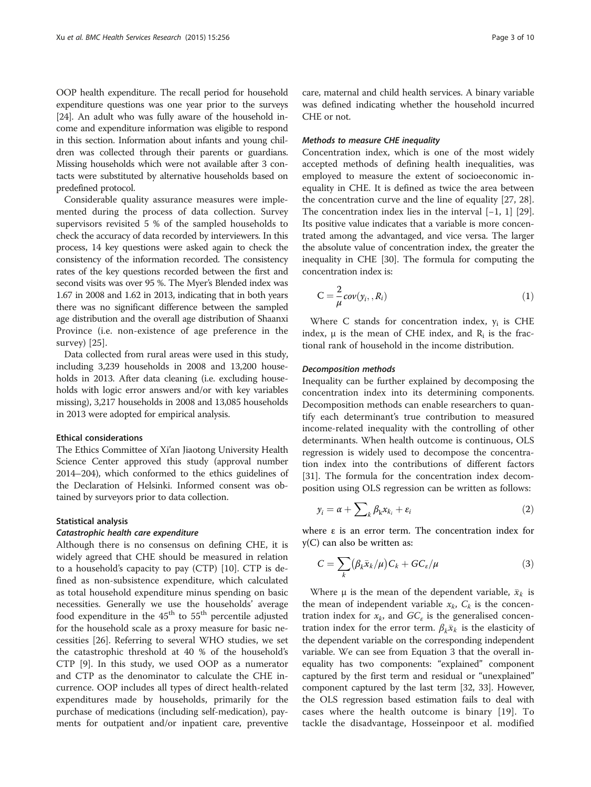OOP health expenditure. The recall period for household expenditure questions was one year prior to the surveys [[24](#page-9-0)]. An adult who was fully aware of the household income and expenditure information was eligible to respond in this section. Information about infants and young children was collected through their parents or guardians. Missing households which were not available after 3 contacts were substituted by alternative households based on predefined protocol.

Considerable quality assurance measures were implemented during the process of data collection. Survey supervisors revisited 5 % of the sampled households to check the accuracy of data recorded by interviewers. In this process, 14 key questions were asked again to check the consistency of the information recorded. The consistency rates of the key questions recorded between the first and second visits was over 95 %. The Myer's Blended index was 1.67 in 2008 and 1.62 in 2013, indicating that in both years there was no significant difference between the sampled age distribution and the overall age distribution of Shaanxi Province (i.e. non-existence of age preference in the survey) [[25\]](#page-9-0).

Data collected from rural areas were used in this study, including 3,239 households in 2008 and 13,200 households in 2013. After data cleaning (i.e. excluding households with logic error answers and/or with key variables missing), 3,217 households in 2008 and 13,085 households in 2013 were adopted for empirical analysis.

#### Ethical considerations

The Ethics Committee of Xi'an Jiaotong University Health Science Center approved this study (approval number 2014–204), which conformed to the ethics guidelines of the Declaration of Helsinki. Informed consent was obtained by surveyors prior to data collection.

#### Statistical analysis

## Catastrophic health care expenditure

Although there is no consensus on defining CHE, it is widely agreed that CHE should be measured in relation to a household's capacity to pay (CTP) [[10\]](#page-9-0). CTP is defined as non-subsistence expenditure, which calculated as total household expenditure minus spending on basic necessities. Generally we use the households' average food expenditure in the 45<sup>th</sup> to 55<sup>th</sup> percentile adjusted for the household scale as a proxy measure for basic necessities [\[26](#page-9-0)]. Referring to several WHO studies, we set the catastrophic threshold at 40 % of the household's CTP [[9](#page-9-0)]. In this study, we used OOP as a numerator and CTP as the denominator to calculate the CHE incurrence. OOP includes all types of direct health-related expenditures made by households, primarily for the purchase of medications (including self-medication), payments for outpatient and/or inpatient care, preventive

care, maternal and child health services. A binary variable was defined indicating whether the household incurred CHE or not.

#### Methods to measure CHE inequality

Concentration index, which is one of the most widely accepted methods of defining health inequalities, was employed to measure the extent of socioeconomic inequality in CHE. It is defined as twice the area between the concentration curve and the line of equality [\[27](#page-9-0), [28](#page-9-0)]. The concentration index lies in the interval [−1, 1] [\[29](#page-9-0)]. Its positive value indicates that a variable is more concentrated among the advantaged, and vice versa. The larger the absolute value of concentration index, the greater the inequality in CHE [\[30\]](#page-9-0). The formula for computing the concentration index is:

$$
C = \frac{2}{\mu} cov(y_i, R_i)
$$
 (1)

Where C stands for concentration index,  $y_i$  is CHE index,  $\mu$  is the mean of CHE index, and  $R_i$  is the fractional rank of household in the income distribution.

#### Decomposition methods

Inequality can be further explained by decomposing the concentration index into its determining components. Decomposition methods can enable researchers to quantify each determinant's true contribution to measured income-related inequality with the controlling of other determinants. When health outcome is continuous, OLS regression is widely used to decompose the concentration index into the contributions of different factors [[31\]](#page-9-0). The formula for the concentration index decomposition using OLS regression can be written as follows:

$$
y_i = \alpha + \sum_k \beta_k x_{k_i} + \varepsilon_i \tag{2}
$$

where  $ε$  is an error term. The concentration index for y(C) can also be written as:

$$
C = \sum_{k} (\beta_k \bar{x}_k / \mu) C_k + G C_{\varepsilon} / \mu \tag{3}
$$

Where  $\mu$  is the mean of the dependent variable,  $\bar{x}_k$  is the mean of independent variable  $x_k$ ,  $C_k$  is the concentration index for  $x_k$ , and  $GC_\varepsilon$  is the generalised concentration index for the error term.  $\beta_k \bar{x}_k$  is the elasticity of the dependent variable on the corresponding independent variable. We can see from Equation 3 that the overall inequality has two components: "explained" component captured by the first term and residual or "unexplained" component captured by the last term [[32](#page-9-0), [33](#page-9-0)]. However, the OLS regression based estimation fails to deal with cases where the health outcome is binary [\[19](#page-9-0)]. To tackle the disadvantage, Hosseinpoor et al. modified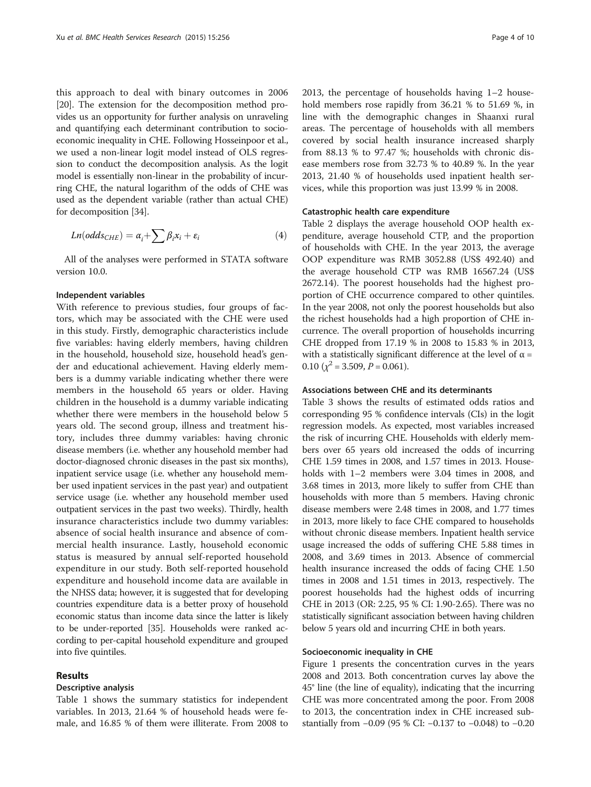this approach to deal with binary outcomes in 2006 [[20](#page-9-0)]. The extension for the decomposition method provides us an opportunity for further analysis on unraveling and quantifying each determinant contribution to socioeconomic inequality in CHE. Following Hosseinpoor et al., we used a non-linear logit model instead of OLS regression to conduct the decomposition analysis. As the logit model is essentially non-linear in the probability of incurring CHE, the natural logarithm of the odds of CHE was used as the dependent variable (rather than actual CHE) for decomposition [\[34](#page-9-0)].

$$
Ln(odds_{CHE}) = \alpha_i + \sum \beta_i x_i + \varepsilon_i \tag{4}
$$

All of the analyses were performed in STATA software version 10.0.

## Independent variables

With reference to previous studies, four groups of factors, which may be associated with the CHE were used in this study. Firstly, demographic characteristics include five variables: having elderly members, having children in the household, household size, household head's gender and educational achievement. Having elderly members is a dummy variable indicating whether there were members in the household 65 years or older. Having children in the household is a dummy variable indicating whether there were members in the household below 5 years old. The second group, illness and treatment history, includes three dummy variables: having chronic disease members (i.e. whether any household member had doctor-diagnosed chronic diseases in the past six months), inpatient service usage (i.e. whether any household member used inpatient services in the past year) and outpatient service usage (i.e. whether any household member used outpatient services in the past two weeks). Thirdly, health insurance characteristics include two dummy variables: absence of social health insurance and absence of commercial health insurance. Lastly, household economic status is measured by annual self-reported household expenditure in our study. Both self-reported household expenditure and household income data are available in the NHSS data; however, it is suggested that for developing countries expenditure data is a better proxy of household economic status than income data since the latter is likely to be under-reported [\[35](#page-9-0)]. Households were ranked according to per-capital household expenditure and grouped into five quintiles.

## Results

## Descriptive analysis

Table [1](#page-4-0) shows the summary statistics for independent variables. In 2013, 21.64 % of household heads were female, and 16.85 % of them were illiterate. From 2008 to 2013, the percentage of households having 1–2 household members rose rapidly from 36.21 % to 51.69 %, in line with the demographic changes in Shaanxi rural areas. The percentage of households with all members covered by social health insurance increased sharply from 88.13 % to 97.47 %; households with chronic disease members rose from 32.73 % to 40.89 %. In the year 2013, 21.40 % of households used inpatient health services, while this proportion was just 13.99 % in 2008.

#### Catastrophic health care expenditure

Table [2](#page-5-0) displays the average household OOP health expenditure, average household CTP, and the proportion of households with CHE. In the year 2013, the average OOP expenditure was RMB 3052.88 (US\$ 492.40) and the average household CTP was RMB 16567.24 (US\$ 2672.14). The poorest households had the highest proportion of CHE occurrence compared to other quintiles. In the year 2008, not only the poorest households but also the richest households had a high proportion of CHE incurrence. The overall proportion of households incurring CHE dropped from 17.19 % in 2008 to 15.83 % in 2013, with a statistically significant difference at the level of  $\alpha$  = 0.10  $(\chi^2 = 3.509, P = 0.061)$ .

#### Associations between CHE and its determinants

Table [3](#page-6-0) shows the results of estimated odds ratios and corresponding 95 % confidence intervals (CIs) in the logit regression models. As expected, most variables increased the risk of incurring CHE. Households with elderly members over 65 years old increased the odds of incurring CHE 1.59 times in 2008, and 1.57 times in 2013. Households with 1–2 members were 3.04 times in 2008, and 3.68 times in 2013, more likely to suffer from CHE than households with more than 5 members. Having chronic disease members were 2.48 times in 2008, and 1.77 times in 2013, more likely to face CHE compared to households without chronic disease members. Inpatient health service usage increased the odds of suffering CHE 5.88 times in 2008, and 3.69 times in 2013. Absence of commercial health insurance increased the odds of facing CHE 1.50 times in 2008 and 1.51 times in 2013, respectively. The poorest households had the highest odds of incurring CHE in 2013 (OR: 2.25, 95 % CI: 1.90-2.65). There was no statistically significant association between having children below 5 years old and incurring CHE in both years.

#### Socioeconomic inequality in CHE

Figure [1](#page-6-0) presents the concentration curves in the years 2008 and 2013. Both concentration curves lay above the 45° line (the line of equality), indicating that the incurring CHE was more concentrated among the poor. From 2008 to 2013, the concentration index in CHE increased substantially from −0.09 (95 % CI: −0.137 to −0.048) to −0.20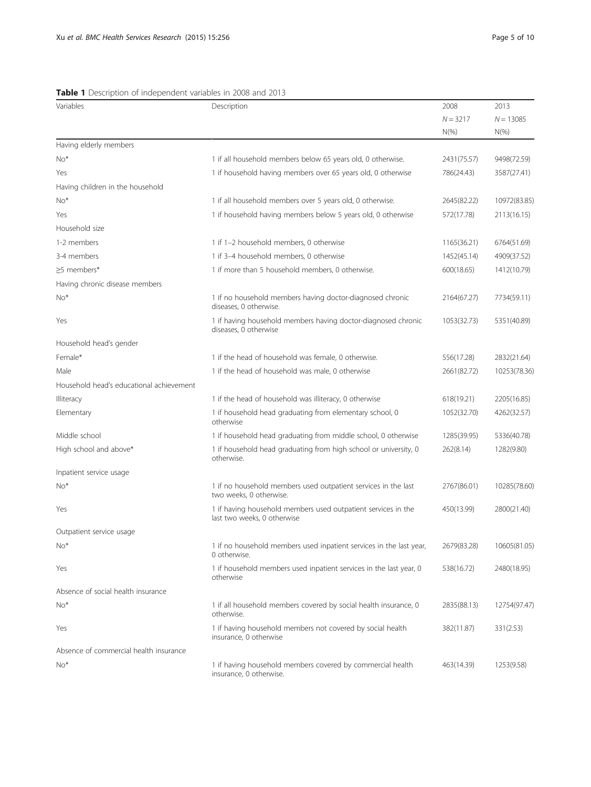<span id="page-4-0"></span>

| Variables                                | Description                                                                                  | 2008        | 2013         |
|------------------------------------------|----------------------------------------------------------------------------------------------|-------------|--------------|
|                                          |                                                                                              | $N = 3217$  | $N = 13085$  |
|                                          |                                                                                              | $N(\% )$    | $N(\%)$      |
| Having elderly members                   |                                                                                              |             |              |
| $No*$                                    | 1 if all household members below 65 years old, 0 otherwise.                                  | 2431(75.57) | 9498(72.59)  |
| Yes                                      | 1 if household having members over 65 years old, 0 otherwise                                 | 786(24.43)  | 3587(27.41)  |
| Having children in the household         |                                                                                              |             |              |
| $No*$                                    | 1 if all household members over 5 years old, 0 otherwise.                                    | 2645(82.22) | 10972(83.85) |
| Yes                                      | 1 if household having members below 5 years old, 0 otherwise                                 | 572(17.78)  | 2113(16.15)  |
| Household size                           |                                                                                              |             |              |
| 1-2 members                              | 1 if 1-2 household members, 0 otherwise                                                      | 1165(36.21) | 6764(51.69)  |
| 3-4 members                              | 1 if 3-4 household members, 0 otherwise                                                      | 1452(45.14) | 4909(37.52)  |
| ≥5 members*                              | 1 if more than 5 household members, 0 otherwise.                                             | 600(18.65)  | 1412(10.79)  |
| Having chronic disease members           |                                                                                              |             |              |
| $No*$                                    | 1 if no household members having doctor-diagnosed chronic<br>diseases, 0 otherwise.          | 2164(67.27) | 7734(59.11)  |
| Yes                                      | 1 if having household members having doctor-diagnosed chronic<br>diseases, 0 otherwise       | 1053(32.73) | 5351(40.89)  |
| Household head's gender                  |                                                                                              |             |              |
| Female*                                  | 1 if the head of household was female, 0 otherwise.                                          | 556(17.28)  | 2832(21.64)  |
| Male                                     | 1 if the head of household was male, 0 otherwise                                             | 2661(82.72) | 10253(78.36) |
| Household head's educational achievement |                                                                                              |             |              |
| <b>Illiteracy</b>                        | 1 if the head of household was illiteracy, 0 otherwise                                       | 618(19.21)  | 2205(16.85)  |
| Elementary                               | 1 if household head graduating from elementary school, 0<br>otherwise                        | 1052(32.70) | 4262(32.57)  |
| Middle school                            | 1 if household head graduating from middle school, 0 otherwise                               | 1285(39.95) | 5336(40.78)  |
| High school and above*                   | 1 if household head graduating from high school or university, 0<br>otherwise.               | 262(8.14)   | 1282(9.80)   |
| Inpatient service usage                  |                                                                                              |             |              |
| $No*$                                    | 1 if no household members used outpatient services in the last<br>two weeks, 0 otherwise.    | 2767(86.01) | 10285(78.60) |
| Yes                                      | 1 if having household members used outpatient services in the<br>last two weeks, 0 otherwise | 450(13.99)  | 2800(21.40)  |
| Outpatient service usage                 |                                                                                              |             |              |
| $No*$                                    | 1 if no household members used inpatient services in the last year,<br>0 otherwise.          | 2679(83.28) | 10605(81.05) |
| Yes                                      | 1 if household members used inpatient services in the last year, 0<br>otherwise              | 538(16.72)  | 2480(18.95)  |
| Absence of social health insurance       |                                                                                              |             |              |
| $No*$                                    | 1 if all household members covered by social health insurance, 0<br>otherwise.               | 2835(88.13) | 12754(97.47) |
| Yes                                      | 1 if having household members not covered by social health<br>insurance, 0 otherwise         | 382(11.87)  | 331(2.53)    |
| Absence of commercial health insurance   |                                                                                              |             |              |
| $No*$                                    | 1 if having household members covered by commercial health<br>insurance, 0 otherwise.        | 463(14.39)  | 1253(9.58)   |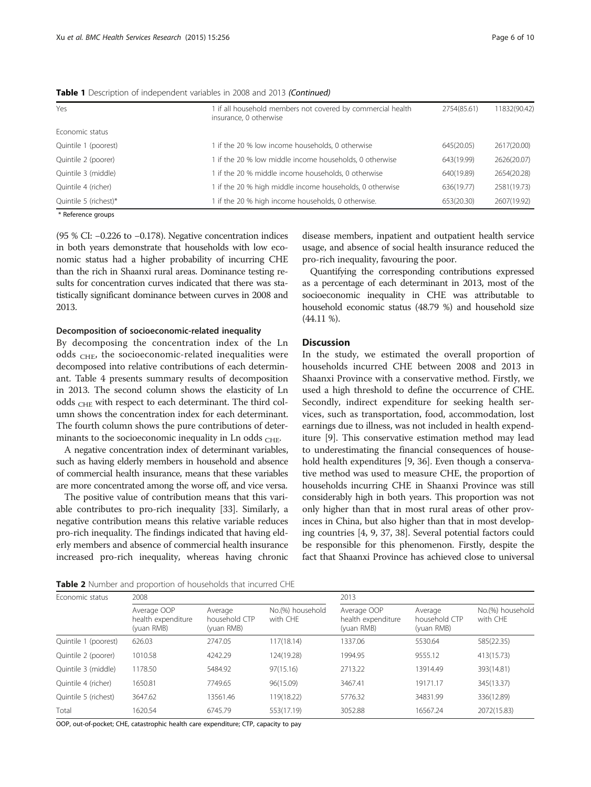<span id="page-5-0"></span>

|  |  | Table 1 Description of independent variables in 2008 and 2013 (Continued) |  |  |  |  |
|--|--|---------------------------------------------------------------------------|--|--|--|--|
|--|--|---------------------------------------------------------------------------|--|--|--|--|

| Yes                    | 1 if all household members not covered by commercial health<br>insurance, 0 otherwise | 2754(85.61) | 11832(90.42) |
|------------------------|---------------------------------------------------------------------------------------|-------------|--------------|
| Economic status        |                                                                                       |             |              |
| Quintile 1 (poorest)   | 1 if the 20 % low income households, 0 otherwise                                      | 645(20.05)  | 2617(20.00)  |
| Quintile 2 (poorer)    | 1 if the 20 % low middle income households, 0 otherwise                               | 643(19.99)  | 2626(20.07)  |
| Quintile 3 (middle)    | 1 if the 20 % middle income households, 0 otherwise                                   | 640(19.89)  | 2654(20.28)  |
| Quintile 4 (richer)    | 1 if the 20 % high middle income households, 0 otherwise                              | 636(19.77)  | 2581(19.73)  |
| Quintile 5 (richest)*  | 1 if the 20 % high income households, 0 otherwise.                                    | 653(20.30)  | 2607(19.92)  |
| $*$ Defense as ensured |                                                                                       |             |              |

Reference groups

(95 % CI: −0.226 to −0.178). Negative concentration indices in both years demonstrate that households with low economic status had a higher probability of incurring CHE than the rich in Shaanxi rural areas. Dominance testing results for concentration curves indicated that there was statistically significant dominance between curves in 2008 and 2013.

## Decomposition of socioeconomic-related inequality

By decomposing the concentration index of the Ln odds  $_{\text{CHE}}$ , the socioeconomic-related inequalities were decomposed into relative contributions of each determinant. Table [4](#page-7-0) presents summary results of decomposition in 2013. The second column shows the elasticity of Ln odds <sub>CHE</sub> with respect to each determinant. The third column shows the concentration index for each determinant. The fourth column shows the pure contributions of determinants to the socioeconomic inequality in Ln odds  $_{\text{CHE}}$ .

A negative concentration index of determinant variables, such as having elderly members in household and absence of commercial health insurance, means that these variables are more concentrated among the worse off, and vice versa.

The positive value of contribution means that this variable contributes to pro-rich inequality [[33](#page-9-0)]. Similarly, a negative contribution means this relative variable reduces pro-rich inequality. The findings indicated that having elderly members and absence of commercial health insurance increased pro-rich inequality, whereas having chronic disease members, inpatient and outpatient health service usage, and absence of social health insurance reduced the pro-rich inequality, favouring the poor.

Quantifying the corresponding contributions expressed as a percentage of each determinant in 2013, most of the socioeconomic inequality in CHE was attributable to household economic status (48.79 %) and household size (44.11 %).

## **Discussion**

In the study, we estimated the overall proportion of households incurred CHE between 2008 and 2013 in Shaanxi Province with a conservative method. Firstly, we used a high threshold to define the occurrence of CHE. Secondly, indirect expenditure for seeking health services, such as transportation, food, accommodation, lost earnings due to illness, was not included in health expenditure [[9](#page-9-0)]. This conservative estimation method may lead to underestimating the financial consequences of household health expenditures [[9, 36](#page-9-0)]. Even though a conservative method was used to measure CHE, the proportion of households incurring CHE in Shaanxi Province was still considerably high in both years. This proportion was not only higher than that in most rural areas of other provinces in China, but also higher than that in most developing countries [[4](#page-9-0), [9](#page-9-0), [37](#page-9-0), [38](#page-9-0)]. Several potential factors could be responsible for this phenomenon. Firstly, despite the fact that Shaanxi Province has achieved close to universal

Table 2 Number and proportion of households that incurred CHE

| Economic status      | 2008                                            |                                        |                              | 2013                                            |                                        |                              |
|----------------------|-------------------------------------------------|----------------------------------------|------------------------------|-------------------------------------------------|----------------------------------------|------------------------------|
|                      | Average OOP<br>health expenditure<br>(yuan RMB) | Average<br>household CTP<br>(yuan RMB) | No.(%) household<br>with CHF | Average OOP<br>health expenditure<br>(yuan RMB) | Average<br>household CTP<br>(yuan RMB) | No.(%) household<br>with CHE |
| Quintile 1 (poorest) | 626.03                                          | 2747.05                                | 117(18.14)                   | 1337.06                                         | 5530.64                                | 585(22.35)                   |
| Quintile 2 (poorer)  | 1010.58                                         | 4242.29                                | 124(19.28)                   | 1994.95                                         | 9555.12                                | 413(15.73)                   |
| Quintile 3 (middle)  | 1178.50                                         | 5484.92                                | 97(15.16)                    | 2713.22                                         | 13914.49                               | 393(14.81)                   |
| Quintile 4 (richer)  | 1650.81                                         | 7749.65                                | 96(15.09)                    | 3467.41                                         | 19171.17                               | 345(13.37)                   |
| Quintile 5 (richest) | 3647.62                                         | 13561.46                               | 119(18.22)                   | 5776.32                                         | 34831.99                               | 336(12.89)                   |
| Total                | 1620.54                                         | 6745.79                                | 553(17.19)                   | 3052.88                                         | 16567.24                               | 2072(15.83)                  |

OOP, out-of-pocket; CHE, catastrophic health care expenditure; CTP, capacity to pay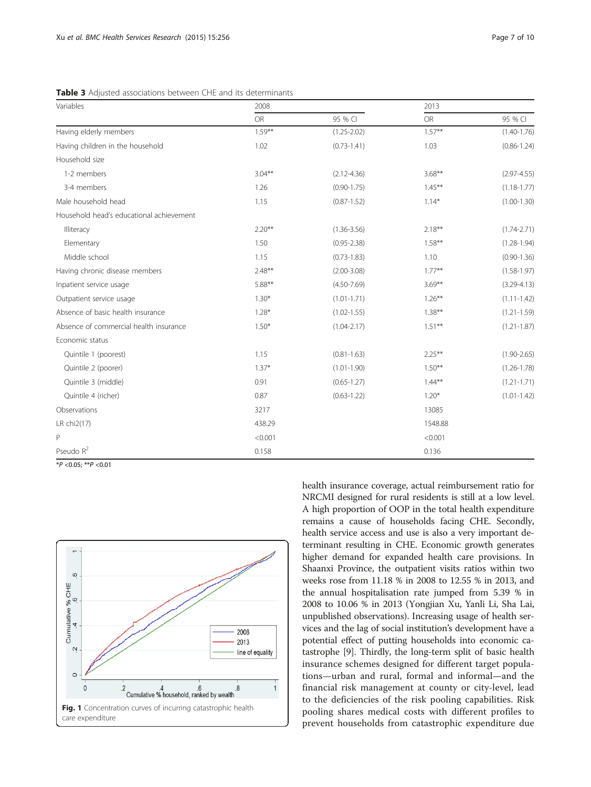<span id="page-6-0"></span>Table 3 Adjusted associations between CHE and its determinants

| Variables                                | 2008      |                 | 2013      |                 |
|------------------------------------------|-----------|-----------------|-----------|-----------------|
|                                          | OR        | 95 % CI         | <b>OR</b> | 95 % CI         |
| Having elderly members                   | $1.59***$ | $(1.25 - 2.02)$ | $1.57***$ | $(1.40 - 1.76)$ |
| Having children in the household         | 1.02      | $(0.73 - 1.41)$ | 1.03      | $(0.86 - 1.24)$ |
| Household size                           |           |                 |           |                 |
| 1-2 members                              | $3.04***$ | $(2.12 - 4.36)$ | $3.68***$ | $(2.97 - 4.55)$ |
| 3-4 members                              | 1.26      | $(0.90 - 1.75)$ | $1.45***$ | $(1.18 - 1.77)$ |
| Male household head                      | 1.15      | $(0.87 - 1.52)$ | $1.14*$   | $(1.00 - 1.30)$ |
| Household head's educational achievement |           |                 |           |                 |
| Illiteracy                               | $2.20**$  | $(1.36 - 3.56)$ | $2.18***$ | $(1.74 - 2.71)$ |
| Elementary                               | 1.50      | $(0.95 - 2.38)$ | $1.58***$ | $(1.28 - 1.94)$ |
| Middle school                            | 1.15      | $(0.73 - 1.83)$ | 1.10      | $(0.90 - 1.36)$ |
| Having chronic disease members           | $2.48***$ | $(2.00 - 3.08)$ | $1.77***$ | $(1.58 - 1.97)$ |
| Inpatient service usage                  | $5.88***$ | $(4.50 - 7.69)$ | $3.69***$ | $(3.29 - 4.13)$ |
| Outpatient service usage                 | $1.30*$   | $(1.01 - 1.71)$ | $1.26***$ | $(1.11 - 1.42)$ |
| Absence of basic health insurance        | $1.28*$   | $(1.02 - 1.55)$ | $1.38***$ | $(1.21 - 1.59)$ |
| Absence of commercial health insurance   | $1.50*$   | $(1.04 - 2.17)$ | $1.51***$ | $(1.21 - 1.87)$ |
| Economic status                          |           |                 |           |                 |
| Quintile 1 (poorest)                     | 1.15      | $(0.81 - 1.63)$ | $2.25***$ | $(1.90 - 2.65)$ |
| Quintile 2 (poorer)                      | $1.37*$   | $(1.01 - 1.90)$ | $1.50***$ | $(1.26 - 1.78)$ |
| Quintile 3 (middle)                      | 0.91      | $(0.65 - 1.27)$ | $1.44***$ | $(1.21 - 1.71)$ |
| Quintile 4 (richer)                      | 0.87      | $(0.63 - 1.22)$ | $1.20*$   | $(1.01 - 1.42)$ |
| Observations                             | 3217      |                 | 13085     |                 |
| LR chi2(17)                              | 438.29    |                 | 1548.88   |                 |
| P                                        | < 0.001   |                 | < 0.001   |                 |
| Pseudo R <sup>2</sup>                    | 0.158     |                 | 0.136     |                 |

 $*P < 0.05; **P < 0.01$ 



health insurance coverage, actual reimbursement ratio for NRCMI designed for rural residents is still at a low level. A high proportion of OOP in the total health expenditure remains a cause of households facing CHE. Secondly, health service access and use is also a very important determinant resulting in CHE. Economic growth generates higher demand for expanded health care provisions. In Shaanxi Province, the outpatient visits ratios within two weeks rose from 11.18 % in 2008 to 12.55 % in 2013, and the annual hospitalisation rate jumped from 5.39 % in 2008 to 10.06 % in 2013 (Yongjian Xu, Yanli Li, Sha Lai, unpublished observations). Increasing usage of health services and the lag of social institution's development have a potential effect of putting households into economic catastrophe [\[9\]](#page-9-0). Thirdly, the long-term split of basic health insurance schemes designed for different target populations—urban and rural, formal and informal—and the financial risk management at county or city-level, lead to the deficiencies of the risk pooling capabilities. Risk pooling shares medical costs with different profiles to prevent households from catastrophic expenditure due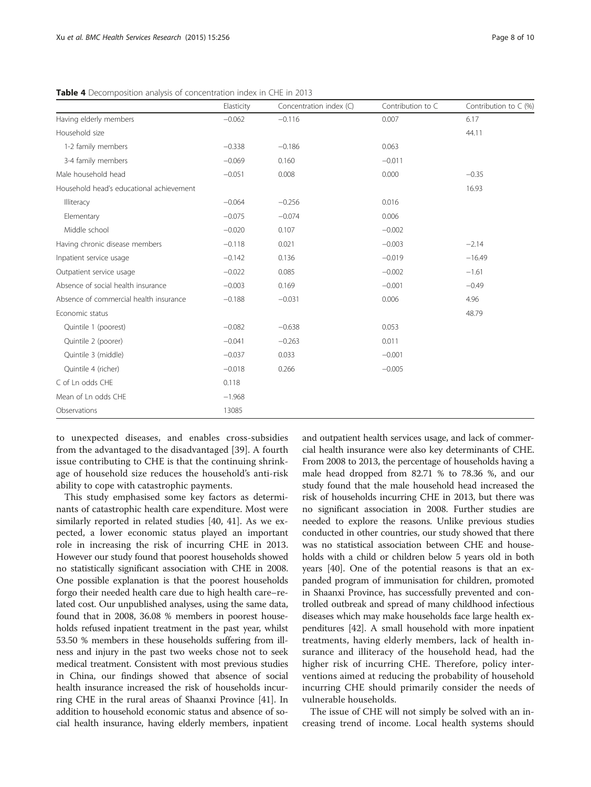|                                          | Elasticity | Concentration index (C) | Contribution to C | Contribution to $\subset$ (%) |
|------------------------------------------|------------|-------------------------|-------------------|-------------------------------|
| Having elderly members                   | $-0.062$   | $-0.116$                | 0.007             | 6.17                          |
| Household size                           |            |                         |                   | 44.11                         |
| 1-2 family members                       | $-0.338$   | $-0.186$                | 0.063             |                               |
| 3-4 family members                       | $-0.069$   | 0.160                   | $-0.011$          |                               |
| Male household head                      | $-0.051$   | 0.008                   | 0.000             | $-0.35$                       |
| Household head's educational achievement |            |                         |                   | 16.93                         |
| Illiteracy                               | $-0.064$   | $-0.256$                | 0.016             |                               |
| Elementary                               | $-0.075$   | $-0.074$                | 0.006             |                               |
| Middle school                            | $-0.020$   | 0.107                   | $-0.002$          |                               |
| Having chronic disease members           | $-0.118$   | 0.021                   | $-0.003$          | $-2.14$                       |
| Inpatient service usage                  | $-0.142$   | 0.136                   | $-0.019$          | $-16.49$                      |
| Outpatient service usage                 | $-0.022$   | 0.085                   | $-0.002$          | $-1.61$                       |
| Absence of social health insurance       | $-0.003$   | 0.169                   | $-0.001$          | $-0.49$                       |
| Absence of commercial health insurance   | $-0.188$   | $-0.031$                | 0.006             | 4.96                          |
| Economic status                          |            |                         |                   | 48.79                         |
| Quintile 1 (poorest)                     | $-0.082$   | $-0.638$                | 0.053             |                               |
| Quintile 2 (poorer)                      | $-0.041$   | $-0.263$                | 0.011             |                               |
| Quintile 3 (middle)                      | $-0.037$   | 0.033                   | $-0.001$          |                               |
| Quintile 4 (richer)                      | $-0.018$   | 0.266                   | $-0.005$          |                               |
| C of Ln odds CHE                         | 0.118      |                         |                   |                               |
| Mean of Ln odds CHE                      | $-1.968$   |                         |                   |                               |
| Observations                             | 13085      |                         |                   |                               |

<span id="page-7-0"></span>Table 4 Decomposition analysis of concentration index in CHE in 2013

to unexpected diseases, and enables cross-subsidies from the advantaged to the disadvantaged [[39\]](#page-9-0). A fourth issue contributing to CHE is that the continuing shrinkage of household size reduces the household's anti-risk ability to cope with catastrophic payments.

This study emphasised some key factors as determinants of catastrophic health care expenditure. Most were similarly reported in related studies [[40, 41\]](#page-9-0). As we expected, a lower economic status played an important role in increasing the risk of incurring CHE in 2013. However our study found that poorest households showed no statistically significant association with CHE in 2008. One possible explanation is that the poorest households forgo their needed health care due to high health care–related cost. Our unpublished analyses, using the same data, found that in 2008, 36.08 % members in poorest households refused inpatient treatment in the past year, whilst 53.50 % members in these households suffering from illness and injury in the past two weeks chose not to seek medical treatment. Consistent with most previous studies in China, our findings showed that absence of social health insurance increased the risk of households incurring CHE in the rural areas of Shaanxi Province [\[41\]](#page-9-0). In addition to household economic status and absence of social health insurance, having elderly members, inpatient

and outpatient health services usage, and lack of commercial health insurance were also key determinants of CHE. From 2008 to 2013, the percentage of households having a male head dropped from 82.71 % to 78.36 %, and our study found that the male household head increased the risk of households incurring CHE in 2013, but there was no significant association in 2008. Further studies are needed to explore the reasons. Unlike previous studies conducted in other countries, our study showed that there was no statistical association between CHE and households with a child or children below 5 years old in both years [[40\]](#page-9-0). One of the potential reasons is that an expanded program of immunisation for children, promoted in Shaanxi Province, has successfully prevented and controlled outbreak and spread of many childhood infectious diseases which may make households face large health expenditures [\[42](#page-9-0)]. A small household with more inpatient treatments, having elderly members, lack of health insurance and illiteracy of the household head, had the higher risk of incurring CHE. Therefore, policy interventions aimed at reducing the probability of household incurring CHE should primarily consider the needs of vulnerable households.

The issue of CHE will not simply be solved with an increasing trend of income. Local health systems should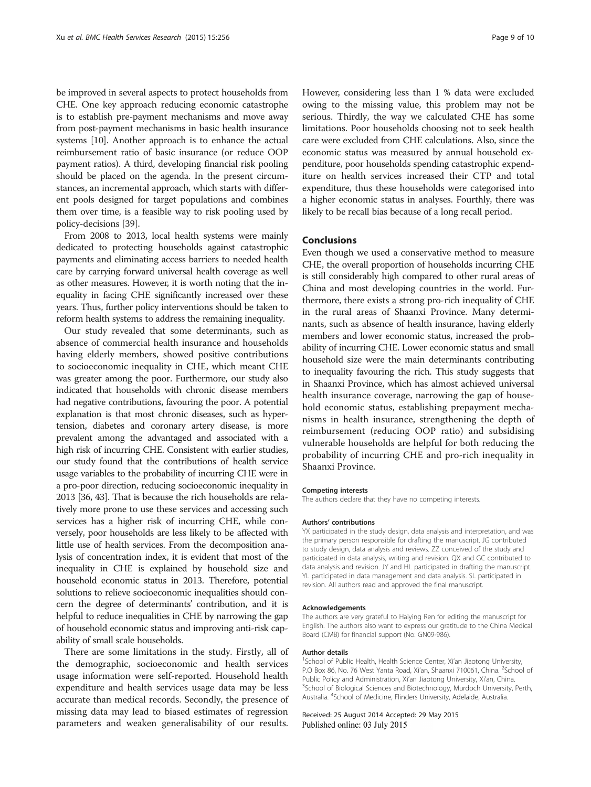be improved in several aspects to protect households from CHE. One key approach reducing economic catastrophe is to establish pre-payment mechanisms and move away from post-payment mechanisms in basic health insurance systems [[10](#page-9-0)]. Another approach is to enhance the actual reimbursement ratio of basic insurance (or reduce OOP payment ratios). A third, developing financial risk pooling should be placed on the agenda. In the present circumstances, an incremental approach, which starts with different pools designed for target populations and combines them over time, is a feasible way to risk pooling used by policy-decisions [\[39\]](#page-9-0).

From 2008 to 2013, local health systems were mainly dedicated to protecting households against catastrophic payments and eliminating access barriers to needed health care by carrying forward universal health coverage as well as other measures. However, it is worth noting that the inequality in facing CHE significantly increased over these years. Thus, further policy interventions should be taken to reform health systems to address the remaining inequality.

Our study revealed that some determinants, such as absence of commercial health insurance and households having elderly members, showed positive contributions to socioeconomic inequality in CHE, which meant CHE was greater among the poor. Furthermore, our study also indicated that households with chronic disease members had negative contributions, favouring the poor. A potential explanation is that most chronic diseases, such as hypertension, diabetes and coronary artery disease, is more prevalent among the advantaged and associated with a high risk of incurring CHE. Consistent with earlier studies, our study found that the contributions of health service usage variables to the probability of incurring CHE were in a pro-poor direction, reducing socioeconomic inequality in 2013 [[36](#page-9-0), [43](#page-9-0)]. That is because the rich households are relatively more prone to use these services and accessing such services has a higher risk of incurring CHE, while conversely, poor households are less likely to be affected with little use of health services. From the decomposition analysis of concentration index, it is evident that most of the inequality in CHE is explained by household size and household economic status in 2013. Therefore, potential solutions to relieve socioeconomic inequalities should concern the degree of determinants' contribution, and it is helpful to reduce inequalities in CHE by narrowing the gap of household economic status and improving anti-risk capability of small scale households.

There are some limitations in the study. Firstly, all of the demographic, socioeconomic and health services usage information were self-reported. Household health expenditure and health services usage data may be less accurate than medical records. Secondly, the presence of missing data may lead to biased estimates of regression parameters and weaken generalisability of our results.

However, considering less than 1 % data were excluded owing to the missing value, this problem may not be serious. Thirdly, the way we calculated CHE has some limitations. Poor households choosing not to seek health care were excluded from CHE calculations. Also, since the economic status was measured by annual household expenditure, poor households spending catastrophic expenditure on health services increased their CTP and total expenditure, thus these households were categorised into a higher economic status in analyses. Fourthly, there was likely to be recall bias because of a long recall period.

## Conclusions

Even though we used a conservative method to measure CHE, the overall proportion of households incurring CHE is still considerably high compared to other rural areas of China and most developing countries in the world. Furthermore, there exists a strong pro-rich inequality of CHE in the rural areas of Shaanxi Province. Many determinants, such as absence of health insurance, having elderly members and lower economic status, increased the probability of incurring CHE. Lower economic status and small household size were the main determinants contributing to inequality favouring the rich. This study suggests that in Shaanxi Province, which has almost achieved universal health insurance coverage, narrowing the gap of household economic status, establishing prepayment mechanisms in health insurance, strengthening the depth of reimbursement (reducing OOP ratio) and subsidising vulnerable households are helpful for both reducing the probability of incurring CHE and pro-rich inequality in Shaanxi Province.

#### Competing interests

The authors declare that they have no competing interests.

#### Authors' contributions

YX participated in the study design, data analysis and interpretation, and was the primary person responsible for drafting the manuscript. JG contributed to study design, data analysis and reviews. ZZ conceived of the study and participated in data analysis, writing and revision. QX and GC contributed to data analysis and revision. JY and HL participated in drafting the manuscript. YL participated in data management and data analysis. SL participated in revision. All authors read and approved the final manuscript.

#### Acknowledgements

The authors are very grateful to Haiying Ren for editing the manuscript for English. The authors also want to express our gratitude to the China Medical Board (CMB) for financial support (No: GN09-986).

#### Author details

<sup>1</sup>School of Public Health, Health Science Center, Xi'an Jiaotong University P.O Box 86, No. 76 West Yanta Road, Xi'an, Shaanxi 710061, China. <sup>2</sup>School of Public Policy and Administration, Xi'an Jiaotong University, Xi'an, China. School of Biological Sciences and Biotechnology, Murdoch University, Perth, Australia. <sup>4</sup> School of Medicine, Flinders University, Adelaide, Australia.

#### Received: 25 August 2014 Accepted: 29 May 2015 Published online: 03 July 2015